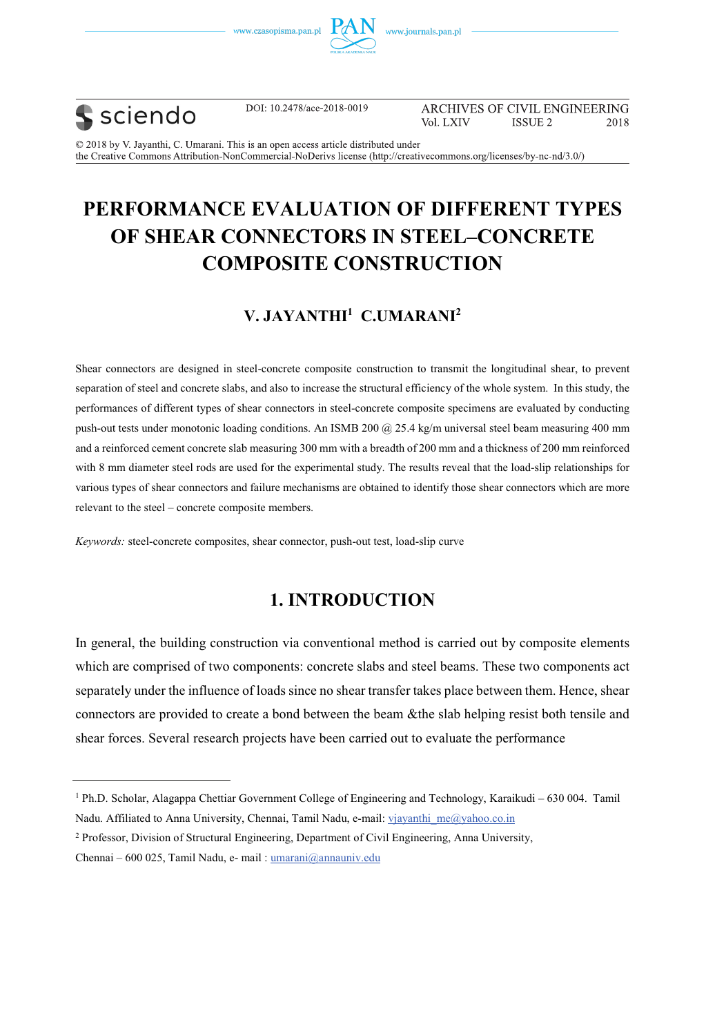





DOI: 10.2478/ace-2018-0019

ARCHIVES OF CIVIL ENGINEERING Vol. LXIV **ISSUE 2** 2018

© 2018 by V. Jayanthi, C. Umarani. This is an open access article distributed under the Creative Commons Attribution-NonCommercial-NoDerivs license (http://creativecommons.org/licenses/by-nc-nd/3.0/)

# **PERFORMANCE EVALUATION OF DIFFERENT TYPES OF SHEAR CONNECTORS IN STEEL–CONCRETE COMPOSITE CONSTRUCTION**

## **V. JAYANTHI1 C.UMARANI2**

Shear connectors are designed in steel-concrete composite construction to transmit the longitudinal shear, to prevent separation of steel and concrete slabs, and also to increase the structural efficiency of the whole system. In this study, the performances of different types of shear connectors in steel-concrete composite specimens are evaluated by conducting push-out tests under monotonic loading conditions. An ISMB 200  $@$  25.4 kg/m universal steel beam measuring 400 mm and a reinforced cement concrete slab measuring 300 mm with a breadth of 200 mm and a thickness of 200 mm reinforced with 8 mm diameter steel rods are used for the experimental study. The results reveal that the load-slip relationships for various types of shear connectors and failure mechanisms are obtained to identify those shear connectors which are more relevant to the steel – concrete composite members.

*Keywords:* steel-concrete composites, shear connector, push-out test, load-slip curve

## **1. INTRODUCTION**

In general, the building construction via conventional method is carried out by composite elements which are comprised of two components: concrete slabs and steel beams. These two components act separately under the influence of loads since no shear transfer takes place between them. Hence, shear connectors are provided to create a bond between the beam &the slab helping resist both tensile and shear forces. Several research projects have been carried out to evaluate the performance

<sup>&</sup>lt;sup>1</sup> Ph.D. Scholar, Alagappa Chettiar Government College of Engineering and Technology, Karaikudi – 630 004. Tamil Nadu. Affiliated to Anna University, Chennai, Tamil Nadu, e-mail: vjayanthi\_me@yahoo.co.in

<sup>&</sup>lt;sup>2</sup> Professor, Division of Structural Engineering, Department of Civil Engineering, Anna University,

Chennai – 600 025, Tamil Nadu, e- mail : umarani@annauniv.edu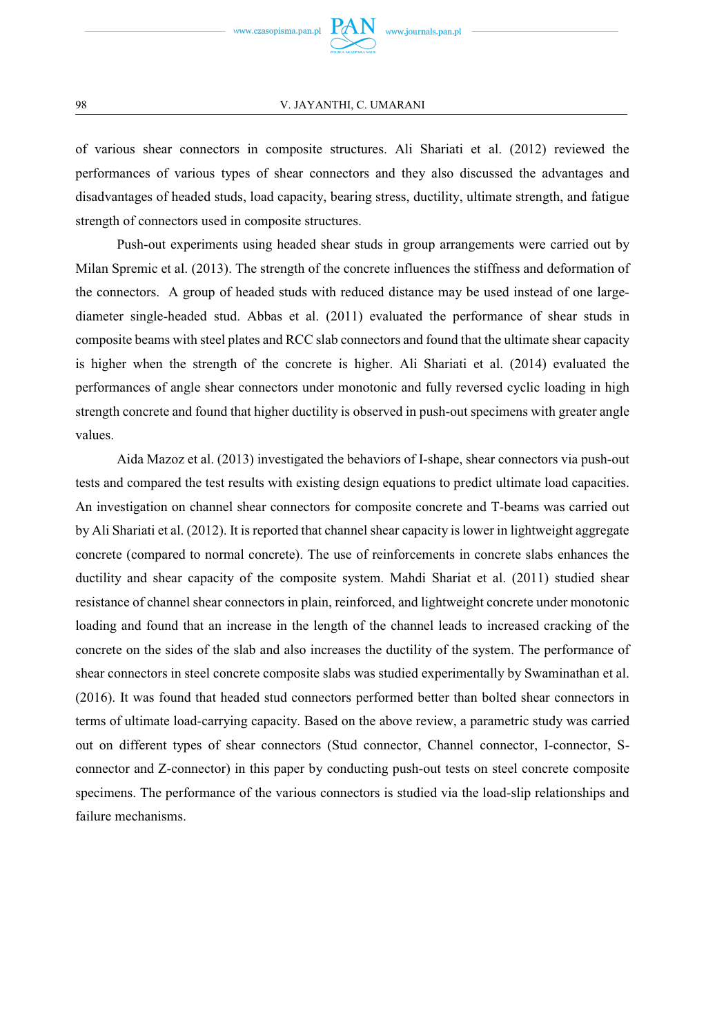

of various shear connectors in composite structures. Ali Shariati et al. (2012) reviewed the performances of various types of shear connectors and they also discussed the advantages and disadvantages of headed studs, load capacity, bearing stress, ductility, ultimate strength, and fatigue strength of connectors used in composite structures.

Push-out experiments using headed shear studs in group arrangements were carried out by Milan Spremic et al. (2013). The strength of the concrete influences the stiffness and deformation of the connectors. A group of headed studs with reduced distance may be used instead of one largediameter single-headed stud. Abbas et al. (2011) evaluated the performance of shear studs in composite beams with steel plates and RCC slab connectors and found that the ultimate shear capacity is higher when the strength of the concrete is higher. Ali Shariati et al. (2014) evaluated the performances of angle shear connectors under monotonic and fully reversed cyclic loading in high strength concrete and found that higher ductility is observed in push-out specimens with greater angle values.

Aida Mazoz et al. (2013) investigated the behaviors of I-shape, shear connectors via push-out tests and compared the test results with existing design equations to predict ultimate load capacities. An investigation on channel shear connectors for composite concrete and T-beams was carried out by Ali Shariati et al. (2012). It is reported that channel shear capacity is lower in lightweight aggregate concrete (compared to normal concrete). The use of reinforcements in concrete slabs enhances the ductility and shear capacity of the composite system. Mahdi Shariat et al. (2011) studied shear resistance of channel shear connectors in plain, reinforced, and lightweight concrete under monotonic loading and found that an increase in the length of the channel leads to increased cracking of the concrete on the sides of the slab and also increases the ductility of the system. The performance of shear connectors in steel concrete composite slabs was studied experimentally by Swaminathan et al. (2016). It was found that headed stud connectors performed better than bolted shear connectors in terms of ultimate load-carrying capacity. Based on the above review, a parametric study was carried out on different types of shear connectors (Stud connector, Channel connector, I-connector, Sconnector and Z-connector) in this paper by conducting push-out tests on steel concrete composite specimens. The performance of the various connectors is studied via the load-slip relationships and failure mechanisms.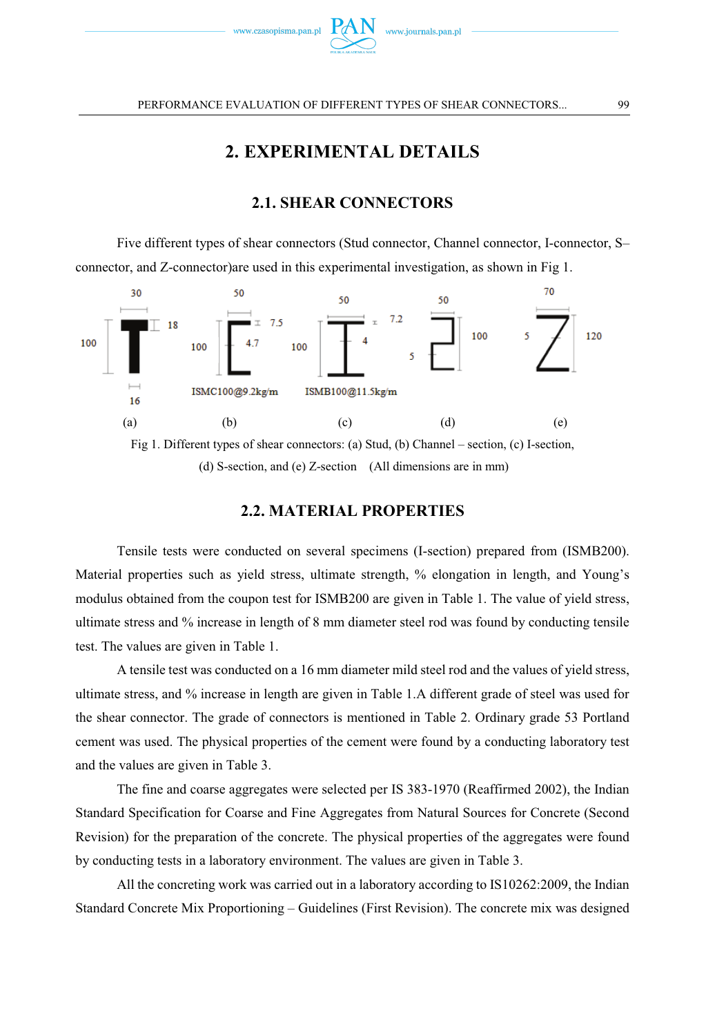

## **2. EXPERIMENTAL DETAILS**

### **2.1. SHEAR CONNECTORS**

 Five different types of shear connectors (Stud connector, Channel connector, I-connector, S– connector, and Z-connector)are used in this experimental investigation, as shown in Fig 1.



(d) S-section, and (e) Z-section (All dimensions are in mm)

### **2.2. MATERIAL PROPERTIES**

Tensile tests were conducted on several specimens (I-section) prepared from (ISMB200). Material properties such as yield stress, ultimate strength, % elongation in length, and Young's modulus obtained from the coupon test for ISMB200 are given in Table 1. The value of yield stress, ultimate stress and % increase in length of 8 mm diameter steel rod was found by conducting tensile test. The values are given in Table 1.

A tensile test was conducted on a 16 mm diameter mild steel rod and the values of yield stress, ultimate stress, and % increase in length are given in Table 1.A different grade of steel was used for the shear connector. The grade of connectors is mentioned in Table 2. Ordinary grade 53 Portland cement was used. The physical properties of the cement were found by a conducting laboratory test and the values are given in Table 3.

The fine and coarse aggregates were selected per IS 383-1970 (Reaffirmed 2002), the Indian Standard Specification for Coarse and Fine Aggregates from Natural Sources for Concrete (Second Revision) for the preparation of the concrete. The physical properties of the aggregates were found by conducting tests in a laboratory environment. The values are given in Table 3.

All the concreting work was carried out in a laboratory according to IS10262:2009, the Indian Standard Concrete Mix Proportioning – Guidelines (First Revision). The concrete mix was designed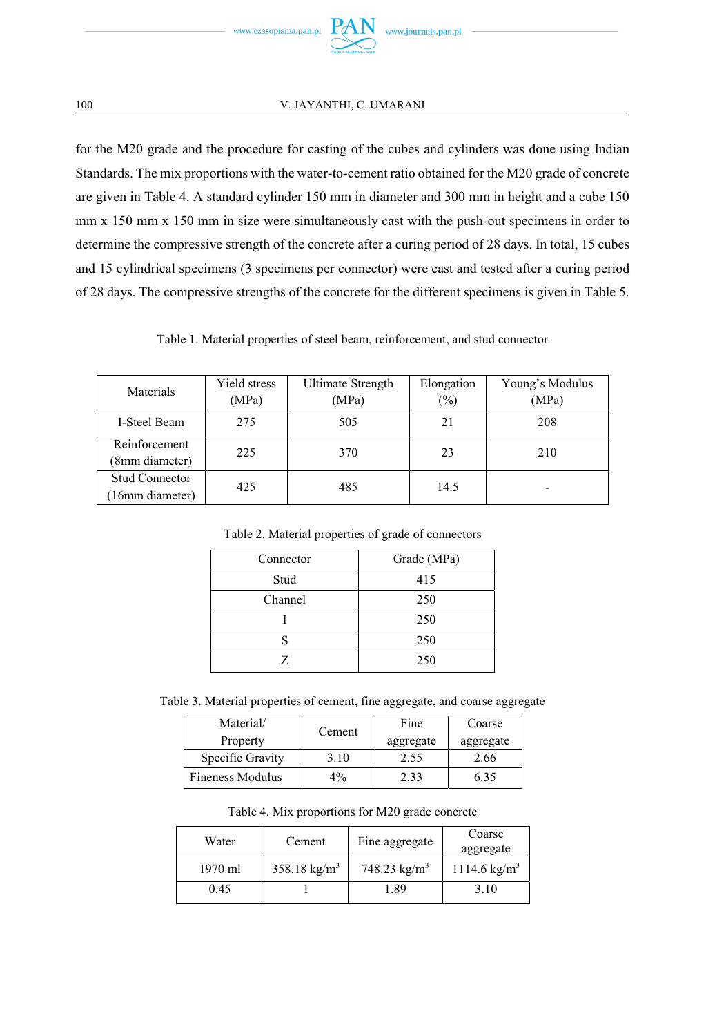

for the M20 grade and the procedure for casting of the cubes and cylinders was done using Indian Standards. The mix proportions with the water-to-cement ratio obtained for the M20 grade of concrete are given in Table 4. A standard cylinder 150 mm in diameter and 300 mm in height and a cube 150 mm x 150 mm x 150 mm in size were simultaneously cast with the push-out specimens in order to determine the compressive strength of the concrete after a curing period of 28 days. In total, 15 cubes and 15 cylindrical specimens (3 specimens per connector) were cast and tested after a curing period of 28 days. The compressive strengths of the concrete for the different specimens is given in Table 5.

Table 1. Material properties of steel beam, reinforcement, and stud connector

| Materials                         | Yield stress<br>(MPa) | <b>Ultimate Strength</b><br>(MPa) | Elongation<br>(%) | Young's Modulus<br>(MPa) |
|-----------------------------------|-----------------------|-----------------------------------|-------------------|--------------------------|
| <b>I-Steel Beam</b>               | 275                   | 505                               | 21                | 208                      |
| Reinforcement<br>(8mm diameter)   | 225                   | 370                               | 23                | 210                      |
| Stud Connector<br>(16mm diameter) | 425                   | 485                               | 14.5              | -                        |

Table 2. Material properties of grade of connectors

| Connector | Grade (MPa) |
|-----------|-------------|
| Stud      | 415         |
| Channel   | 250         |
|           | 250         |
| S         | 250         |
|           | 250         |

Table 3. Material properties of cement, fine aggregate, and coarse aggregate

| Material/               | Cement | Fine      | Coarse    |
|-------------------------|--------|-----------|-----------|
| Property                |        | aggregate | aggregate |
| Specific Gravity        | 3.10   | 2.55      | 2.66      |
| <b>Fineness Modulus</b> | $4\%$  | 2.33      | 6.35      |

Table 4. Mix proportions for M20 grade concrete

| Water   | Cement                  | Fine aggregate         | Coarse<br>aggregate     |
|---------|-------------------------|------------------------|-------------------------|
| 1970 ml | $358.18 \text{ kg/m}^3$ | 748.23 $\text{kg/m}^3$ | $1114.6 \text{ kg/m}^3$ |
| 0.45    |                         | 1.89                   | 3.10                    |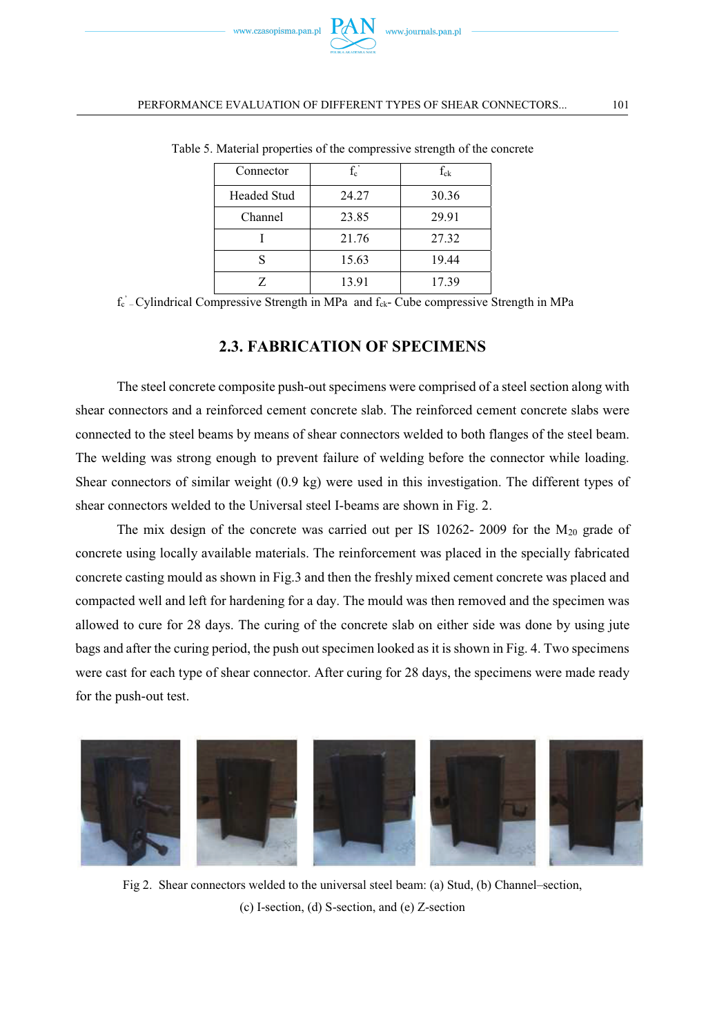| Connector   | $f_c$ | $f_{ck}$ |
|-------------|-------|----------|
| Headed Stud | 24.27 | 30.36    |
| Channel     | 23.85 | 29.91    |
|             | 21.76 | 27.32    |
| ς           | 15.63 | 19.44    |
|             | 13.91 | 17.39    |

Table 5. Material properties of the compressive strength of the concrete

f<sub>c</sub>' Cylindrical Compressive Strength in MPa and f<sub>ck</sub>- Cube compressive Strength in MPa

### **2.3. FABRICATION OF SPECIMENS**

The steel concrete composite push-out specimens were comprised of a steel section along with shear connectors and a reinforced cement concrete slab. The reinforced cement concrete slabs were connected to the steel beams by means of shear connectors welded to both flanges of the steel beam. The welding was strong enough to prevent failure of welding before the connector while loading. Shear connectors of similar weight (0.9 kg) were used in this investigation. The different types of shear connectors welded to the Universal steel I-beams are shown in Fig. 2.

The mix design of the concrete was carried out per IS  $10262 - 2009$  for the M<sub>20</sub> grade of concrete using locally available materials. The reinforcement was placed in the specially fabricated concrete casting mould as shown in Fig.3 and then the freshly mixed cement concrete was placed and compacted well and left for hardening for a day. The mould was then removed and the specimen was allowed to cure for 28 days. The curing of the concrete slab on either side was done by using jute bags and after the curing period, the push out specimen looked as it is shown in Fig. 4. Two specimens were cast for each type of shear connector. After curing for 28 days, the specimens were made ready for the push-out test.



Fig 2. Shear connectors welded to the universal steel beam: (a) Stud, (b) Channel–section, (c) I-section, (d) S-section, and (e) Z-section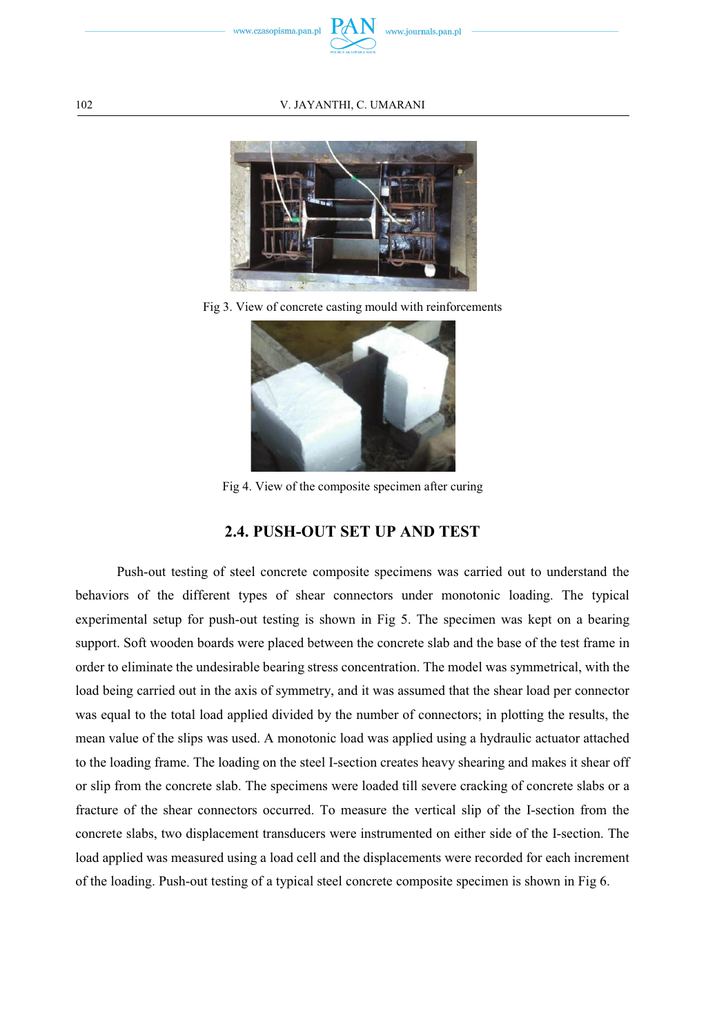



Fig 3. View of concrete casting mould with reinforcements



Fig 4. View of the composite specimen after curing

### **2.4. PUSH-OUT SET UP AND TEST**

Push-out testing of steel concrete composite specimens was carried out to understand the behaviors of the different types of shear connectors under monotonic loading. The typical experimental setup for push-out testing is shown in Fig 5. The specimen was kept on a bearing support. Soft wooden boards were placed between the concrete slab and the base of the test frame in order to eliminate the undesirable bearing stress concentration. The model was symmetrical, with the load being carried out in the axis of symmetry, and it was assumed that the shear load per connector was equal to the total load applied divided by the number of connectors; in plotting the results, the mean value of the slips was used. A monotonic load was applied using a hydraulic actuator attached to the loading frame. The loading on the steel I-section creates heavy shearing and makes it shear off or slip from the concrete slab. The specimens were loaded till severe cracking of concrete slabs or a fracture of the shear connectors occurred. To measure the vertical slip of the I-section from the concrete slabs, two displacement transducers were instrumented on either side of the I-section. The load applied was measured using a load cell and the displacements were recorded for each increment of the loading. Push-out testing of a typical steel concrete composite specimen is shown in Fig 6.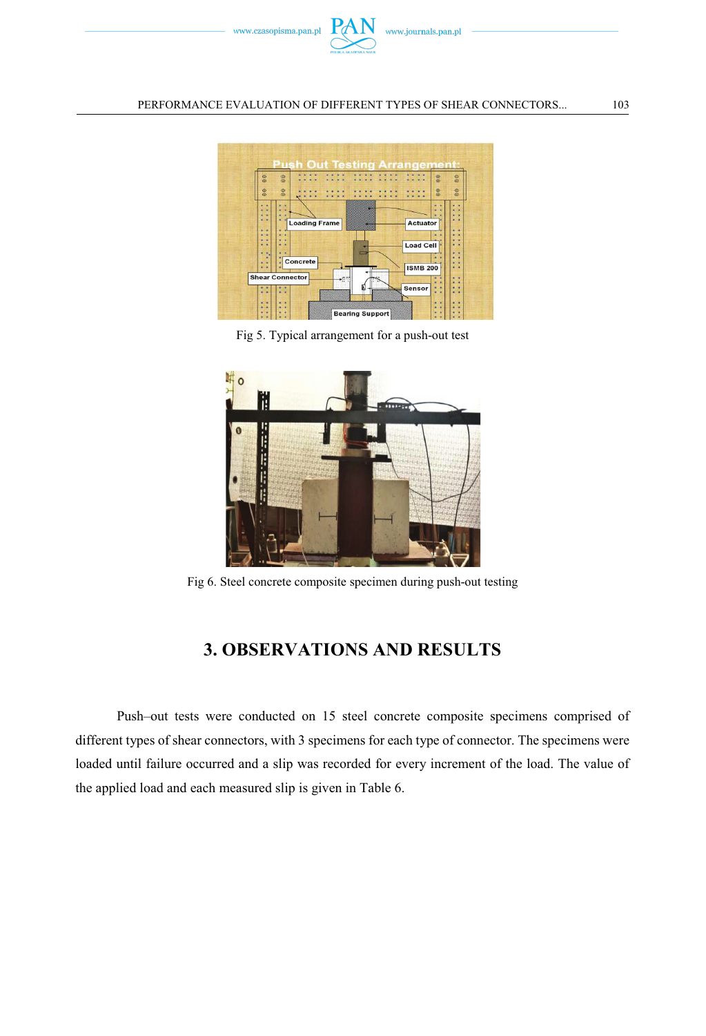



Fig 5. Typical arrangement for a push-out test



Fig 6. Steel concrete composite specimen during push-out testing

## **3. OBSERVATIONS AND RESULTS**

Push–out tests were conducted on 15 steel concrete composite specimens comprised of different types of shear connectors, with 3 specimens for each type of connector. The specimens were loaded until failure occurred and a slip was recorded for every increment of the load. The value of the applied load and each measured slip is given in Table 6.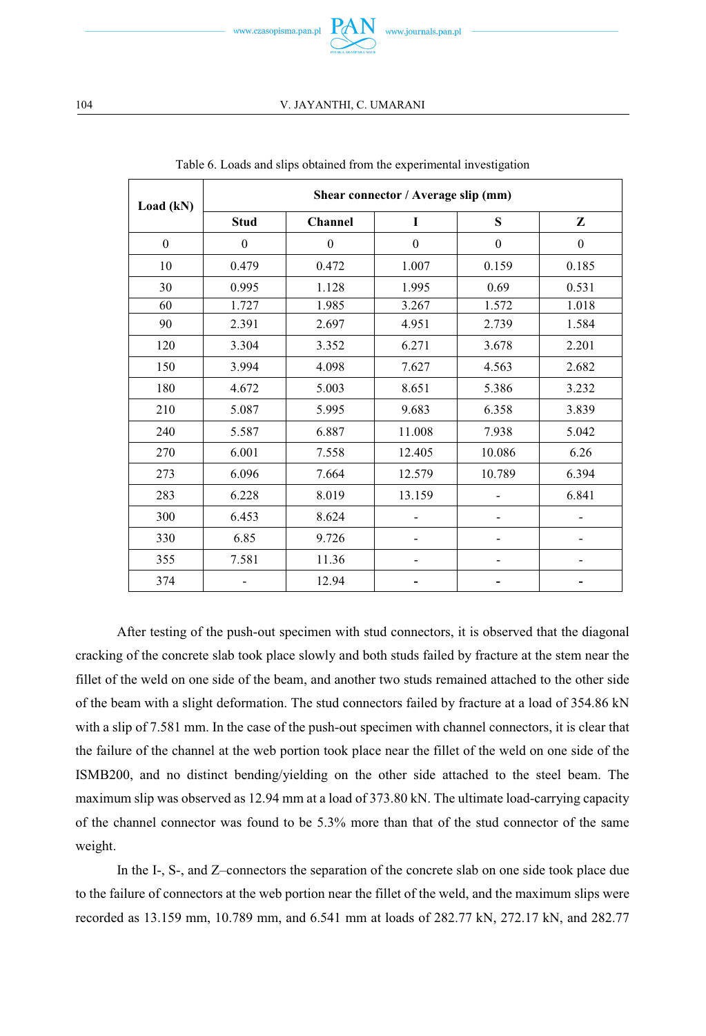

| Load (kN)    | Shear connector / Average slip (mm) |              |              |              |              |
|--------------|-------------------------------------|--------------|--------------|--------------|--------------|
|              | <b>Stud</b>                         | Channel      | I            | S            | Z            |
| $\mathbf{0}$ | $\mathbf{0}$                        | $\mathbf{0}$ | $\mathbf{0}$ | $\mathbf{0}$ | $\mathbf{0}$ |
| 10           | 0.479                               | 0.472        | 1.007        | 0.159        | 0.185        |
| 30           | 0.995                               | 1.128        | 1.995        | 0.69         | 0.531        |
| 60           | 1.727                               | 1.985        | 3.267        | 1.572        | 1.018        |
| 90           | 2.391                               | 2.697        | 4.951        | 2.739        | 1.584        |
| 120          | 3.304                               | 3.352        | 6.271        | 3.678        | 2.201        |
| 150          | 3.994                               | 4.098        | 7.627        | 4.563        | 2.682        |
| 180          | 4.672                               | 5.003        | 8.651        | 5.386        | 3.232        |
| 210          | 5.087                               | 5.995        | 9.683        | 6.358        | 3.839        |
| 240          | 5.587                               | 6.887        | 11.008       | 7.938        | 5.042        |
| 270          | 6.001                               | 7.558        | 12.405       | 10.086       | 6.26         |
| 273          | 6.096                               | 7.664        | 12.579       | 10.789       | 6.394        |
| 283          | 6.228                               | 8.019        | 13.159       |              | 6.841        |
| 300          | 6.453                               | 8.624        |              |              |              |
| 330          | 6.85                                | 9.726        |              |              |              |
| 355          | 7.581                               | 11.36        |              |              |              |
| 374          |                                     | 12.94        |              |              |              |

Table 6. Loads and slips obtained from the experimental investigation

After testing of the push-out specimen with stud connectors, it is observed that the diagonal cracking of the concrete slab took place slowly and both studs failed by fracture at the stem near the fillet of the weld on one side of the beam, and another two studs remained attached to the other side of the beam with a slight deformation. The stud connectors failed by fracture at a load of 354.86 kN with a slip of 7.581 mm. In the case of the push-out specimen with channel connectors, it is clear that the failure of the channel at the web portion took place near the fillet of the weld on one side of the ISMB200, and no distinct bending/yielding on the other side attached to the steel beam. The maximum slip was observed as 12.94 mm at a load of 373.80 kN. The ultimate load-carrying capacity of the channel connector was found to be 5.3% more than that of the stud connector of the same weight.

In the I-, S-, and Z–connectors the separation of the concrete slab on one side took place due to the failure of connectors at the web portion near the fillet of the weld, and the maximum slips were recorded as 13.159 mm, 10.789 mm, and 6.541 mm at loads of 282.77 kN, 272.17 kN, and 282.77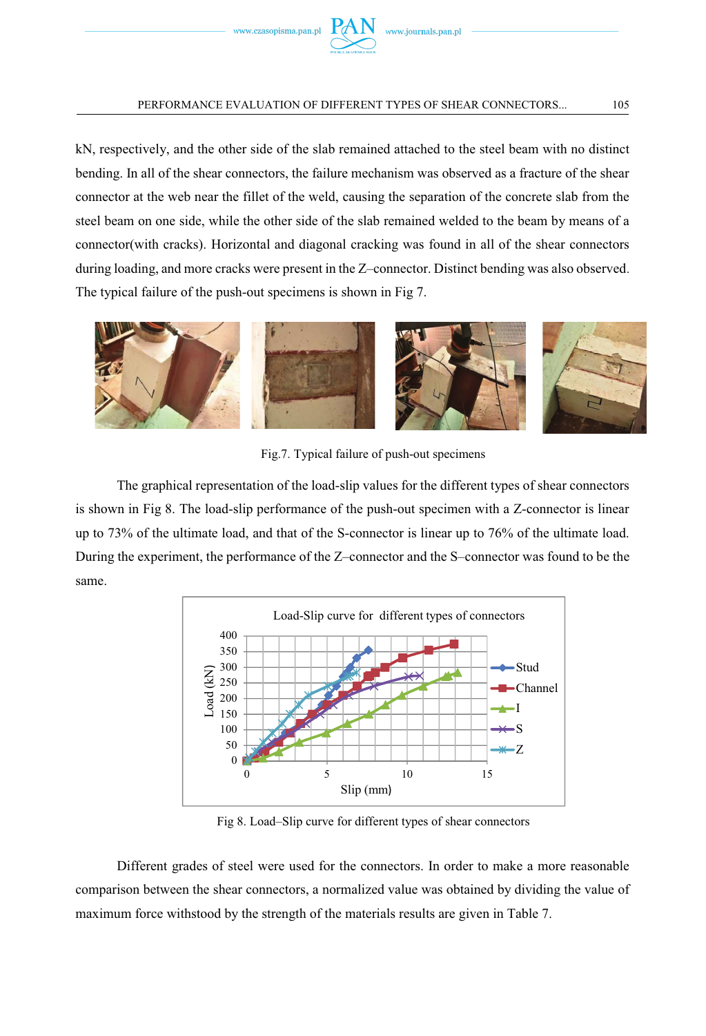

kN, respectively, and the other side of the slab remained attached to the steel beam with no distinct bending. In all of the shear connectors, the failure mechanism was observed as a fracture of the shear connector at the web near the fillet of the weld, causing the separation of the concrete slab from the steel beam on one side, while the other side of the slab remained welded to the beam by means of a connector(with cracks). Horizontal and diagonal cracking was found in all of the shear connectors during loading, and more cracks were present in the Z–connector. Distinct bending was also observed. The typical failure of the push-out specimens is shown in Fig 7.



Fig.7. Typical failure of push-out specimens

The graphical representation of the load-slip values for the different types of shear connectors is shown in Fig 8. The load-slip performance of the push-out specimen with a Z-connector is linear up to 73% of the ultimate load, and that of the S-connector is linear up to 76% of the ultimate load. During the experiment, the performance of the Z–connector and the S–connector was found to be the same.



Fig 8. Load–Slip curve for different types of shear connectors

Different grades of steel were used for the connectors. In order to make a more reasonable comparison between the shear connectors, a normalized value was obtained by dividing the value of maximum force withstood by the strength of the materials results are given in Table 7.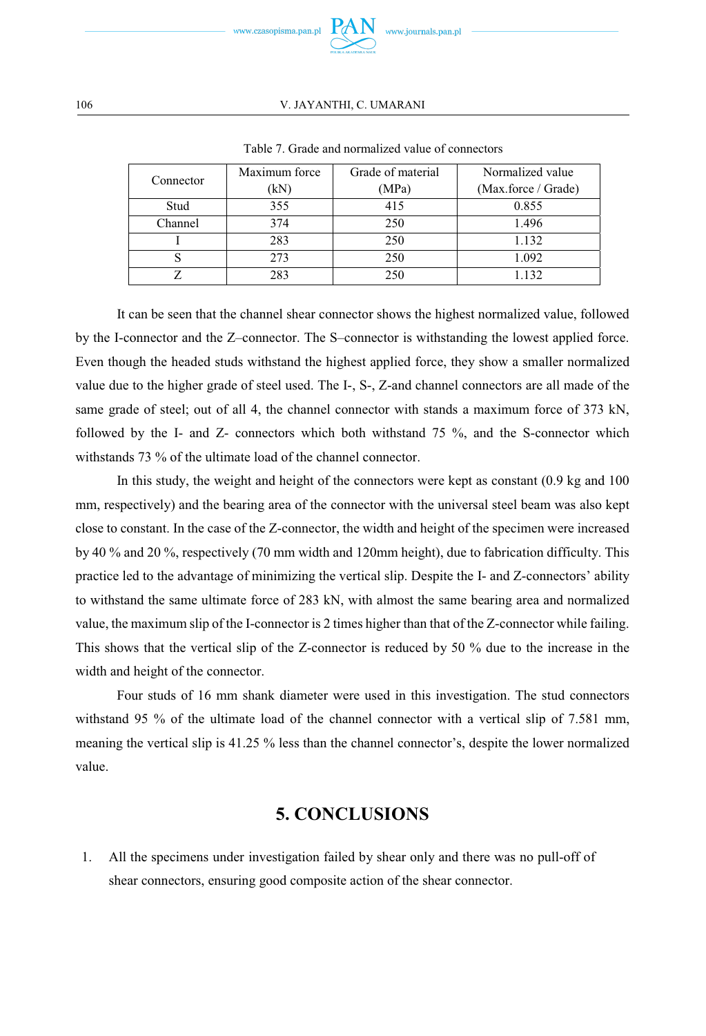

#### 106 V. JAYANTHI, C. UMARANI

| Connector | Maximum force | Grade of material | Normalized value    |
|-----------|---------------|-------------------|---------------------|
|           | (kN)          | (MPa)             | (Max.force / Grade) |
| Stud      | 355           | 415               | 0.855               |
| Channel   | 374           | 250               | 1.496               |
|           | 283           | 250               | 1.132               |
|           | 273           | 250               | 1.092               |
|           | 283           | 250               | 1.132               |

Table 7. Grade and normalized value of connectors

It can be seen that the channel shear connector shows the highest normalized value, followed by the I-connector and the Z–connector. The S–connector is withstanding the lowest applied force. Even though the headed studs withstand the highest applied force, they show a smaller normalized value due to the higher grade of steel used. The I-, S-, Z-and channel connectors are all made of the same grade of steel; out of all 4, the channel connector with stands a maximum force of 373 kN, followed by the I- and Z- connectors which both withstand 75 %, and the S-connector which withstands 73 % of the ultimate load of the channel connector.

In this study, the weight and height of the connectors were kept as constant (0.9 kg and 100 mm, respectively) and the bearing area of the connector with the universal steel beam was also kept close to constant. In the case of the Z-connector, the width and height of the specimen were increased by 40 % and 20 %, respectively (70 mm width and 120mm height), due to fabrication difficulty. This practice led to the advantage of minimizing the vertical slip. Despite the I- and Z-connectors' ability to withstand the same ultimate force of 283 kN, with almost the same bearing area and normalized value, the maximum slip of the I-connector is 2 times higher than that of the Z-connector while failing. This shows that the vertical slip of the Z-connector is reduced by 50 % due to the increase in the width and height of the connector.

Four studs of 16 mm shank diameter were used in this investigation. The stud connectors withstand 95 % of the ultimate load of the channel connector with a vertical slip of 7.581 mm, meaning the vertical slip is 41.25 % less than the channel connector's, despite the lower normalized value.

## **5. CONCLUSIONS**

1. All the specimens under investigation failed by shear only and there was no pull-off of shear connectors, ensuring good composite action of the shear connector.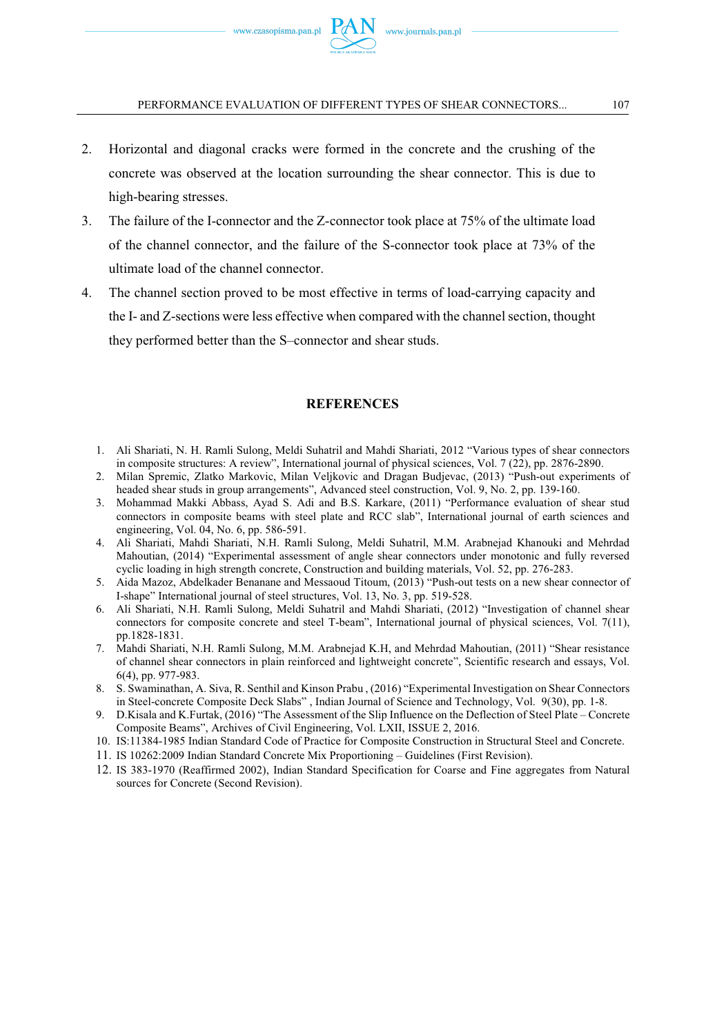- 2. Horizontal and diagonal cracks were formed in the concrete and the crushing of the concrete was observed at the location surrounding the shear connector. This is due to high-bearing stresses.
- 3. The failure of the I-connector and the Z-connector took place at 75% of the ultimate load of the channel connector, and the failure of the S-connector took place at 73% of the ultimate load of the channel connector.
- 4. The channel section proved to be most effective in terms of load-carrying capacity and the I- and Z-sections were less effective when compared with the channel section, thought they performed better than the S–connector and shear studs.

### **REFERENCES**

- 1. Ali Shariati, N. H. Ramli Sulong, Meldi Suhatril and Mahdi Shariati, 2012 "Various types of shear connectors in composite structures: A review", International journal of physical sciences, Vol. 7 (22), pp. 2876-2890.
- 2. Milan Spremic, Zlatko Markovic, Milan Veljkovic and Dragan Budjevac, (2013) "Push-out experiments of headed shear studs in group arrangements", Advanced steel construction, Vol. 9, No. 2, pp. 139-160.
- 3. Mohammad Makki Abbass, Ayad S. Adi and B.S. Karkare, (2011) "Performance evaluation of shear stud connectors in composite beams with steel plate and RCC slab", International journal of earth sciences and engineering, Vol. 04, No. 6, pp. 586-591.
- 4. Ali Shariati, Mahdi Shariati, N.H. Ramli Sulong, Meldi Suhatril, M.M. Arabnejad Khanouki and Mehrdad Mahoutian, (2014) "Experimental assessment of angle shear connectors under monotonic and fully reversed cyclic loading in high strength concrete, Construction and building materials, Vol. 52, pp. 276-283.
- 5. Aida Mazoz, Abdelkader Benanane and Messaoud Titoum, (2013) "Push-out tests on a new shear connector of I-shape" International journal of steel structures, Vol. 13, No. 3, pp. 519-528.
- 6. Ali Shariati, N.H. Ramli Sulong, Meldi Suhatril and Mahdi Shariati, (2012) "Investigation of channel shear connectors for composite concrete and steel T-beam", International journal of physical sciences, Vol. 7(11), pp.1828-1831.
- 7. Mahdi Shariati, N.H. Ramli Sulong, M.M. Arabnejad K.H, and Mehrdad Mahoutian, (2011) "Shear resistance of channel shear connectors in plain reinforced and lightweight concrete", Scientific research and essays, Vol. 6(4), pp. 977-983.
- 8. S. Swaminathan, A. Siva, R. Senthil and Kinson Prabu , (2016) "Experimental Investigation on Shear Connectors in Steel-concrete Composite Deck Slabs" , Indian Journal of Science and Technology, Vol. 9(30), pp. 1-8.
- 9. D.Kisala and K.Furtak, (2016) "The Assessment of the Slip Influence on the Deflection of Steel Plate Concrete Composite Beams", Archives of Civil Engineering, Vol. LXII, ISSUE 2, 2016.
- 10. IS:11384-1985 Indian Standard Code of Practice for Composite Construction in Structural Steel and Concrete.
- 11. IS 10262:2009 Indian Standard Concrete Mix Proportioning Guidelines (First Revision).
- 12. IS 383-1970 (Reaffirmed 2002), Indian Standard Specification for Coarse and Fine aggregates from Natural sources for Concrete (Second Revision).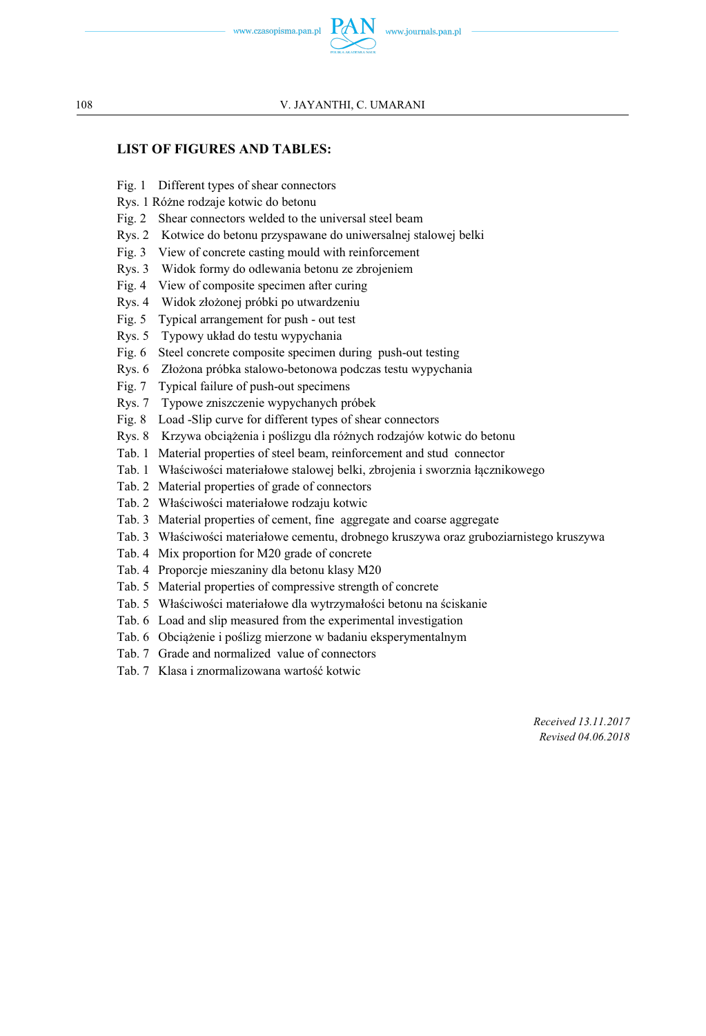

### **LIST OF FIGURES AND TABLES:**

- Fig. 1 Different types of shear connectors
- Rys. 1 Różne rodzaje kotwic do betonu
- Fig. 2 Shear connectors welded to the universal steel beam
- Rys. 2 Kotwice do betonu przyspawane do uniwersalnej stalowej belki
- Fig. 3 View of concrete casting mould with reinforcement
- Rys. 3 Widok formy do odlewania betonu ze zbrojeniem
- Fig. 4 View of composite specimen after curing
- Rys. 4 Widok złożonej próbki po utwardzeniu
- Fig. 5 Typical arrangement for push out test
- Rys. 5 Typowy układ do testu wypychania
- Fig. 6 Steel concrete composite specimen during push-out testing
- Rys. 6 Złożona próbka stalowo-betonowa podczas testu wypychania
- Fig. 7 Typical failure of push-out specimens
- Rys. 7 Typowe zniszczenie wypychanych próbek
- Fig. 8 Load -Slip curve for different types of shear connectors
- Rys. 8 Krzywa obciążenia i poślizgu dla różnych rodzajów kotwic do betonu
- Tab. 1 Material properties of steel beam, reinforcement and stud connector
- Tab. 1 Właściwości materiałowe stalowej belki, zbrojenia i sworznia łacznikowego
- Tab. 2 Material properties of grade of connectors
- Tab. 2 Właściwości materiałowe rodzaju kotwic
- Tab. 3 Material properties of cement, fine aggregate and coarse aggregate
- Tab. 3 Właciwoci materiałowe cementu, drobnego kruszywa oraz gruboziarnistego kruszywa
- Tab. 4 Mix proportion for M20 grade of concrete
- Tab. 4 Proporcje mieszaniny dla betonu klasy M20
- Tab. 5 Material properties of compressive strength of concrete
- Tab. 5 Właściwości materiałowe dla wytrzymałości betonu na ściskanie
- Tab. 6 Load and slip measured from the experimental investigation
- Tab. 6 Obciążenie i poślizg mierzone w badaniu eksperymentalnym
- Tab. 7 Grade and normalized value of connectors
- Tab. 7. Klasa i znormalizowana wartość kotwic

*Received 13.11.2017 Revised 04.06.2018*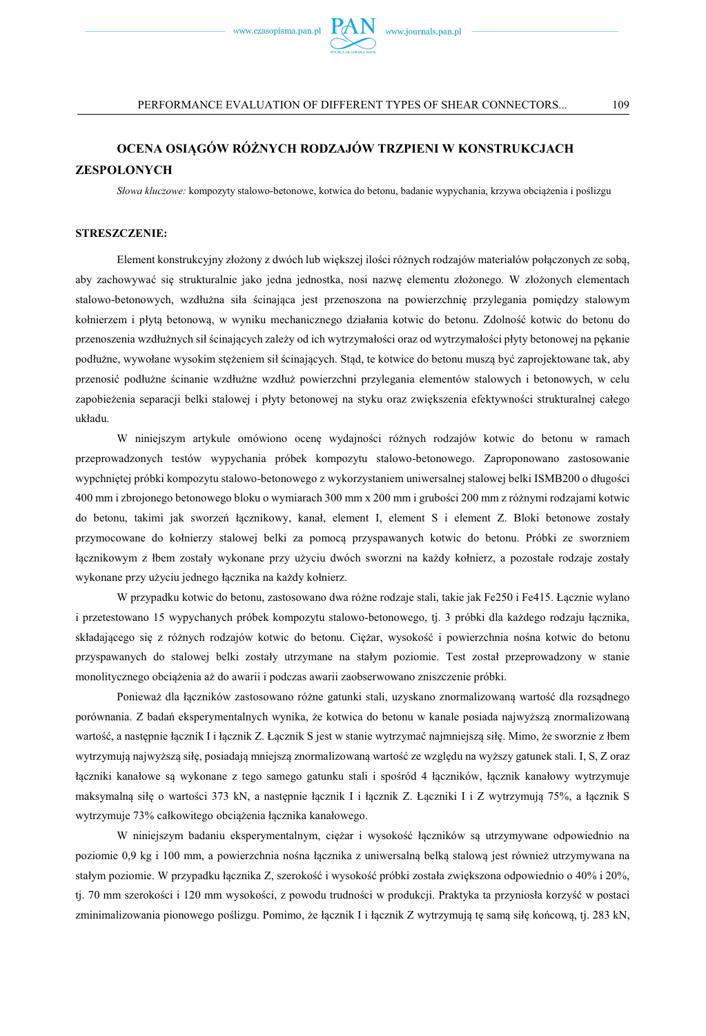

### **ZESPOLONYCH**

Słowa kluczowe: kompozyty stalowo-betonowe, kotwica do betonu, badanie wypychania, krzywa obciążenia i poślizgu

#### **STRESZCZENIE:**

Element konstrukcyjny złożony z dwóch lub większej ilości różnych rodzajów materiałów połączonych ze sobą, aby zachowywać się strukturalnie jako jedna jednostka, nosi nazwę elementu złożonego. W złożonych elementach stalowo-betonowych, wzdłużna siła ścinająca jest przenoszona na powierzchnię przylegania pomiędzy stalowym kołnierzem i płytą betonową, w wyniku mechanicznego działania kotwic do betonu. Zdolność kotwic do betonu do przenoszenia wzdłużnych sił ścinających zależy od ich wytrzymałości oraz od wytrzymałości płyty betonowej na pękanie podłużne, wywołane wysokim stężeniem sił ścinających. Stąd, te kotwice do betonu muszą być zaprojektowane tak, aby przenosić podłużne ścinanie wzdłużne wzdłuż powierzchni przylegania elementów stalowych i betonowych, w celu zapobieżenia separacji belki stalowej i płyty betonowej na styku oraz zwiększenia efektywności strukturalnej całego układu.

W niniejszym artykule omówiono ocenę wydajności różnych rodzajów kotwic do betonu w ramach przeprowadzonych testów wypychania próbek kompozytu stalowo-betonowego. Zaproponowano zastosowanie wypchniętej próbki kompozytu stalowo-betonowego z wykorzystaniem uniwersalnej stalowej belki ISMB200 o długości 400 mm i zbrojonego betonowego bloku o wymiarach 300 mm x 200 mm i grubości 200 mm z różnymi rodzajami kotwic do betonu, takimi jak sworzeń łacznikowy, kanał, element I, element S i element Z. Bloki betonowe zostały przymocowane do kołnierzy stalowej belki za pomocą przyspawanych kotwic do betonu. Próbki ze sworzniem łącznikowym z łbem zostały wykonane przy użyciu dwóch sworzni na każdy kołnierz, a pozostałe rodzaje zostały wykonane przy użyciu jednego łącznika na każdy kołnierz.

W przypadku kotwic do betonu, zastosowano dwa różne rodzaje stali, takie jak Fe250 i Fe415. Łącznie wylano i przetestowano 15 wypychanych próbek kompozytu stalowo-betonowego, tj. 3 próbki dla każdego rodzaju łącznika, składającego się z różnych rodzajów kotwic do betonu. Ciężar, wysokość i powierzchnia nośna kotwic do betonu przyspawanych do stalowej belki zostały utrzymane na stałym poziomie. Test został przeprowadzony w stanie monolitycznego obciążenia aż do awarii i podczas awarii zaobserwowano zniszczenie próbki.

Ponieważ dla łączników zastosowano różne gatunki stali, uzyskano znormalizowaną wartość dla rozsądnego porównania. Z badań eksperymentalnych wynika, że kotwica do betonu w kanale posiada najwyższą znormalizowaną wartość, a następnie łącznik I i łącznik Z. Łącznik S jest w stanie wytrzymać najmniejszą siłę. Mimo, że sworznie z łbem wytrzymują najwyższą siłę, posiadają mniejszą znormalizowaną wartość ze względu na wyższy gatunek stali. I, S, Z oraz łączniki kanałowe są wykonane z tego samego gatunku stali i spośród 4 łączników, łącznik kanałowy wytrzymuje maksymalną siłę o wartości 373 kN, a następnie łącznik I i łącznik Z. Łączniki I i Z wytrzymują 75%, a łącznik S wytrzymuje 73% całkowitego obciążenia łącznika kanałowego.

W niniejszym badaniu eksperymentalnym, ciężar i wysokość łączników są utrzymywane odpowiednio na poziomie 0,9 kg i 100 mm, a powierzchnia nośna łącznika z uniwersalną belką stalową jest również utrzymywana na stałym poziomie. W przypadku łącznika Z, szerokość i wysokość próbki została zwiększona odpowiednio o 40% i 20%, tj. 70 mm szerokości i 120 mm wysokości, z powodu trudności w produkcji. Praktyka ta przyniosła korzyść w postaci zminimalizowania pionowego poślizgu. Pomimo, że łącznik I i łącznik Z wytrzymują tę samą siłę końcową, tj. 283 kN,